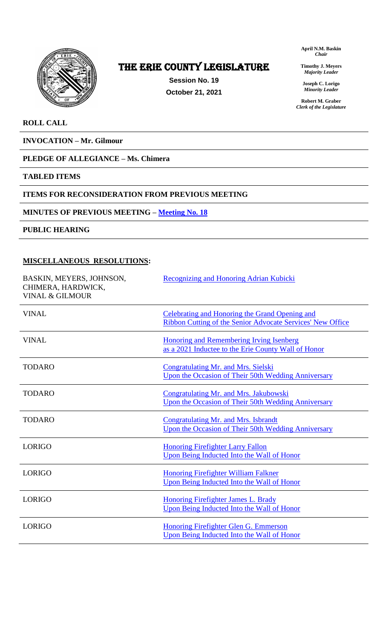

# The ERIE COUNTY LEGISLATURE

**Session No. 19 October 21, 2021** **April N.M. Baskin** *Chair*

**Timothy J. Meyers** *Majority Leader*

**Joseph C. Lorigo** *Minority Leader*

**Robert M. Graber** *Clerk of the Legislature*

### **ROLL CALL**

**INVOCATION – Mr. Gilmour**

# **PLEDGE OF ALLEGIANCE – Ms. Chimera**

#### **TABLED ITEMS**

### **ITEMS FOR RECONSIDERATION FROM PREVIOUS MEETING**

### **MINUTES OF PREVIOUS MEETING – [Meeting No. 18](https://www2.erie.gov/legislature/sites/www2.erie.gov.legislature/files/uploads/Session_Folders/2021/19/Meeting%2018%20from%202021%20minutes.pdf)**

**PUBLIC HEARING**

### **MISCELLANEOUS RESOLUTIONS:**

| BASKIN, MEYERS, JOHNSON,<br>CHIMERA, HARDWICK,<br><b>VINAL &amp; GILMOUR</b> | Recognizing and Honoring Adrian Kubicki                                                                             |
|------------------------------------------------------------------------------|---------------------------------------------------------------------------------------------------------------------|
| <b>VINAL</b>                                                                 | Celebrating and Honoring the Grand Opening and<br><b>Ribbon Cutting of the Senior Advocate Services' New Office</b> |
| <b>VINAL</b>                                                                 | <b>Honoring and Remembering Irving Isenberg</b><br>as a 2021 Inductee to the Erie County Wall of Honor              |
| <b>TODARO</b>                                                                | Congratulating Mr. and Mrs. Sielski<br>Upon the Occasion of Their 50th Wedding Anniversary                          |
| <b>TODARO</b>                                                                | Congratulating Mr. and Mrs. Jakubowski<br>Upon the Occasion of Their 50th Wedding Anniversary                       |
| <b>TODARO</b>                                                                | Congratulating Mr. and Mrs. Isbrandt<br>Upon the Occasion of Their 50th Wedding Anniversary                         |
| <b>LORIGO</b>                                                                | <b>Honoring Firefighter Larry Fallon</b><br>Upon Being Inducted Into the Wall of Honor                              |
| <b>LORIGO</b>                                                                | <b>Honoring Firefighter William Falkner</b><br>Upon Being Inducted Into the Wall of Honor                           |
| <b>LORIGO</b>                                                                | Honoring Firefighter James L. Brady<br>Upon Being Inducted Into the Wall of Honor                                   |
| <b>LORIGO</b>                                                                | Honoring Firefighter Glen G. Emmerson<br>Upon Being Inducted Into the Wall of Honor                                 |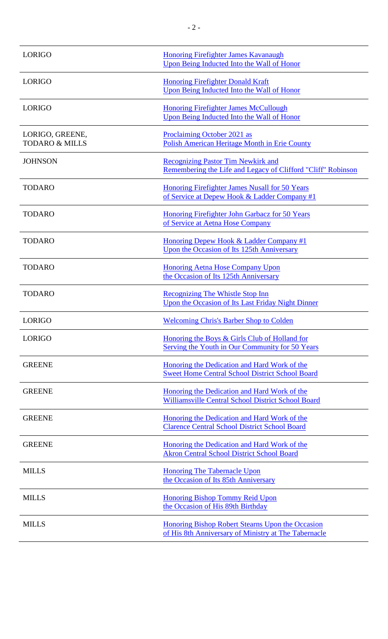| <b>LORIGO</b>                                | <b>Honoring Firefighter James Kavanaugh</b><br>Upon Being Inducted Into the Wall of Honor                 |
|----------------------------------------------|-----------------------------------------------------------------------------------------------------------|
| <b>LORIGO</b>                                | <b>Honoring Firefighter Donald Kraft</b><br>Upon Being Inducted Into the Wall of Honor                    |
| <b>LORIGO</b>                                | <b>Honoring Firefighter James McCullough</b><br>Upon Being Inducted Into the Wall of Honor                |
| LORIGO, GREENE,<br><b>TODARO &amp; MILLS</b> | Proclaiming October 2021 as<br>Polish American Heritage Month in Erie County                              |
| <b>JOHNSON</b>                               | <b>Recognizing Pastor Tim Newkirk and</b><br>Remembering the Life and Legacy of Clifford "Cliff" Robinson |
| <b>TODARO</b>                                | <b>Honoring Firefighter James Nusall for 50 Years</b><br>of Service at Depew Hook & Ladder Company #1     |
| <b>TODARO</b>                                | Honoring Firefighter John Garbacz for 50 Years<br>of Service at Aetna Hose Company                        |
| <b>TODARO</b>                                | Honoring Depew Hook & Ladder Company #1<br>Upon the Occasion of Its 125th Anniversary                     |
| <b>TODARO</b>                                | <b>Honoring Aetna Hose Company Upon</b><br>the Occasion of Its 125th Anniversary                          |
| <b>TODARO</b>                                | <b>Recognizing The Whistle Stop Inn</b><br>Upon the Occasion of Its Last Friday Night Dinner              |
| <b>LORIGO</b>                                | <b>Welcoming Chris's Barber Shop to Colden</b>                                                            |
| <b>LORIGO</b>                                | Honoring the Boys & Girls Club of Holland for<br>Serving the Youth in Our Community for 50 Years          |
| <b>GREENE</b>                                | Honoring the Dedication and Hard Work of the<br><b>Sweet Home Central School District School Board</b>    |
| <b>GREENE</b>                                | Honoring the Dedication and Hard Work of the<br>Williamsville Central School District School Board        |
| <b>GREENE</b>                                | Honoring the Dedication and Hard Work of the<br><b>Clarence Central School District School Board</b>      |
| <b>GREENE</b>                                | Honoring the Dedication and Hard Work of the<br><b>Akron Central School District School Board</b>         |
| <b>MILLS</b>                                 | <b>Honoring The Tabernacle Upon</b><br>the Occasion of Its 85th Anniversary                               |
| <b>MILLS</b>                                 | <b>Honoring Bishop Tommy Reid Upon</b><br>the Occasion of His 89th Birthday                               |
| <b>MILLS</b>                                 | Honoring Bishop Robert Stearns Upon the Occasion<br>of His 8th Anniversary of Ministry at The Tabernacle  |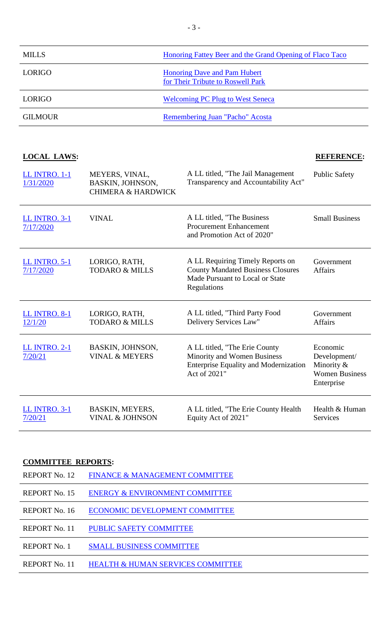| <b>MILLS</b>   | Honoring Fattey Beer and the Grand Opening of Flaco Taco                 |
|----------------|--------------------------------------------------------------------------|
| <b>LORIGO</b>  | <b>Honoring Dave and Pam Hubert</b><br>for Their Tribute to Roswell Park |
| LORIGO.        | <b>Welcoming PC Plug to West Seneca</b>                                  |
| <b>GILMOUR</b> | Remembering Juan "Pacho" Acosta                                          |

# **LOCAL LAWS: REFERENCE:**

| <b>LL INTRO. 1-1</b><br>1/31/2020 | MEYERS, VINAL,<br>BASKIN, JOHNSON,<br><b>CHIMERA &amp; HARDWICK</b> | A LL titled, "The Jail Management"<br>Transparency and Accountability Act"                                                     | <b>Public Safety</b>                                                          |
|-----------------------------------|---------------------------------------------------------------------|--------------------------------------------------------------------------------------------------------------------------------|-------------------------------------------------------------------------------|
| <b>LL INTRO. 3-1</b><br>7/17/2020 | <b>VINAL</b>                                                        | A LL titled, "The Business<br><b>Procurement Enhancement</b><br>and Promotion Act of 2020"                                     | <b>Small Business</b>                                                         |
| <b>LL INTRO. 5-1</b><br>7/17/2020 | LORIGO, RATH,<br><b>TODARO &amp; MILLS</b>                          | A LL Requiring Timely Reports on<br><b>County Mandated Business Closures</b><br>Made Pursuant to Local or State<br>Regulations | Government<br><b>Affairs</b>                                                  |
| <b>LL INTRO. 8-1</b><br>12/1/20   | LORIGO, RATH,<br><b>TODARO &amp; MILLS</b>                          | A LL titled, "Third Party Food<br>Delivery Services Law"                                                                       | Government<br><b>Affairs</b>                                                  |
| <b>LL INTRO. 2-1</b><br>7/20/21   | BASKIN, JOHNSON,<br><b>VINAL &amp; MEYERS</b>                       | A LL titled, "The Erie County<br>Minority and Women Business<br><b>Enterprise Equality and Modernization</b><br>Act of 2021"   | Economic<br>Development/<br>Minority &<br><b>Women Business</b><br>Enterprise |
| <b>LL INTRO. 3-1</b><br>7/20/21   | BASKIN, MEYERS,<br><b>VINAL &amp; JOHNSON</b>                       | A LL titled, "The Erie County Health<br>Equity Act of 2021"                                                                    | Health & Human<br><b>Services</b>                                             |

## **COMMITTEE REPORTS:**

| REPORT No. 12       | FINANCE & MANAGEMENT COMMITTEE            |
|---------------------|-------------------------------------------|
| REPORT No. 15       | <b>ENERGY &amp; ENVIRONMENT COMMITTEE</b> |
| REPORT No. 16       | ECONOMIC DEVELOPMENT COMMITTEE            |
| REPORT No. 11       | <b>PUBLIC SAFETY COMMITTEE</b>            |
| <b>REPORT No. 1</b> | <b>SMALL BUSINESS COMMITTEE</b>           |
| REPORT No. 11       | HEALTH & HUMAN SERVICES COMMITTEE         |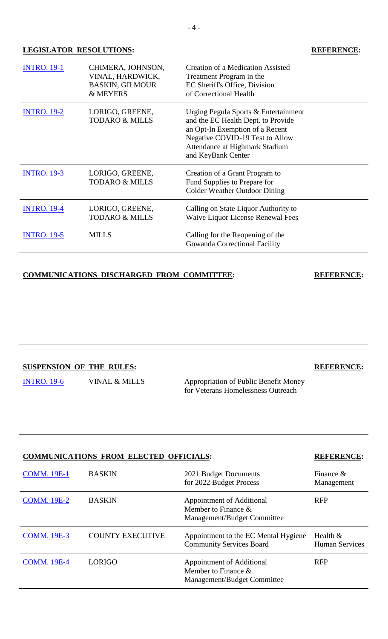### **LEGISLATOR RESOLUTIONS: REFERENCE:**

| <b>INTRO. 19-1</b> | CHIMERA, JOHNSON,<br>VINAL, HARDWICK,<br><b>BASKIN, GILMOUR</b><br>& MEYERS | <b>Creation of a Medication Assisted</b><br>Treatment Program in the<br>EC Sheriff's Office, Division<br>of Correctional Health                                                                          |
|--------------------|-----------------------------------------------------------------------------|----------------------------------------------------------------------------------------------------------------------------------------------------------------------------------------------------------|
| <b>INTRO. 19-2</b> | LORIGO, GREENE,<br><b>TODARO &amp; MILLS</b>                                | Urging Pegula Sports & Entertainment<br>and the EC Health Dept. to Provide<br>an Opt-In Exemption of a Recent<br>Negative COVID-19 Test to Allow<br>Attendance at Highmark Stadium<br>and KeyBank Center |
| <b>INTRO. 19-3</b> | LORIGO, GREENE,<br><b>TODARO &amp; MILLS</b>                                | Creation of a Grant Program to<br>Fund Supplies to Prepare for<br><b>Colder Weather Outdoor Dining</b>                                                                                                   |
| <b>INTRO. 19-4</b> | LORIGO, GREENE,<br><b>TODARO &amp; MILLS</b>                                | Calling on State Liquor Authority to<br><b>Waive Liquor License Renewal Fees</b>                                                                                                                         |
| <b>INTRO. 19-5</b> | <b>MILLS</b>                                                                | Calling for the Reopening of the<br>Gowanda Correctional Facility                                                                                                                                        |

# **COMMUNICATIONS DISCHARGED FROM COMMITTEE: REFERENCE:**

# **SUSPENSION OF THE RULES: REFERENCE:**

[INTRO. 19-6](https://www2.erie.gov/legislature/sites/www2.erie.gov.legislature/files/uploads/Session_Folders/2021/19/INTRO.%2019-6%20%282021%29_Vinal%20Mills%20Homeless%20Veterans%20Resolution.pdf) VINAL & MILLS Appropriation of Public Benefit Money

for Veterans Homelessness Outreach

| COMMUNICATIONS FROM ELECTED OFFICIALS: | <b>KEFEKENCE:</b>       |                                                                                    |                                     |
|----------------------------------------|-------------------------|------------------------------------------------------------------------------------|-------------------------------------|
| <b>COMM. 19E-1</b>                     | <b>BASKIN</b>           | 2021 Budget Documents<br>for 2022 Budget Process                                   | Finance $\&$<br>Management          |
| <b>COMM. 19E-2</b>                     | <b>BASKIN</b>           | Appointment of Additional<br>Member to Finance $\&$<br>Management/Budget Committee | <b>RFP</b>                          |
| <b>COMM. 19E-3</b>                     | <b>COUNTY EXECUTIVE</b> | Appointment to the EC Mental Hygiene<br><b>Community Services Board</b>            | Health $&$<br><b>Human Services</b> |
| <b>COMM. 19E-4</b>                     | <b>LORIGO</b>           | Appointment of Additional<br>Member to Finance $\&$<br>Management/Budget Committee | <b>RFP</b>                          |

# **COMMUNICATIONS FROM ELECTED OFFICIALS: REFERENCE:**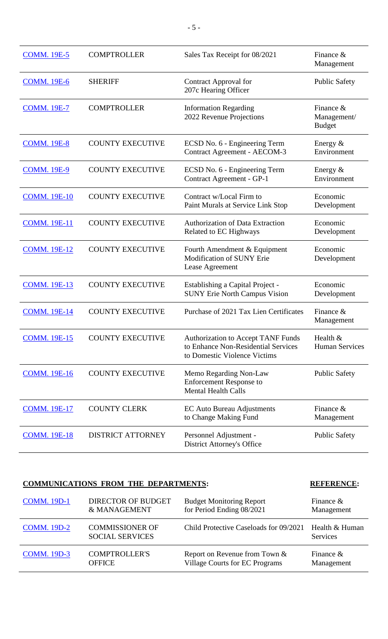| <b>COMM. 19E-5</b>  | <b>COMPTROLLER</b>       | Sales Tax Receipt for 08/2021                                                                                    | Finance $&$<br>Management                    |
|---------------------|--------------------------|------------------------------------------------------------------------------------------------------------------|----------------------------------------------|
| <b>COMM. 19E-6</b>  | <b>SHERIFF</b>           | Contract Approval for<br>207c Hearing Officer                                                                    | <b>Public Safety</b>                         |
| <b>COMM. 19E-7</b>  | <b>COMPTROLLER</b>       | <b>Information Regarding</b><br>2022 Revenue Projections                                                         | Finance $\&$<br>Management/<br><b>Budget</b> |
| <b>COMM. 19E-8</b>  | <b>COUNTY EXECUTIVE</b>  | ECSD No. 6 - Engineering Term<br><b>Contract Agreement - AECOM-3</b>                                             | Energy $&$<br>Environment                    |
| <b>COMM. 19E-9</b>  | <b>COUNTY EXECUTIVE</b>  | ECSD No. 6 - Engineering Term<br>Contract Agreement - GP-1                                                       | Energy $&$<br>Environment                    |
| <b>COMM. 19E-10</b> | <b>COUNTY EXECUTIVE</b>  | Contract w/Local Firm to<br>Paint Murals at Service Link Stop                                                    | Economic<br>Development                      |
| <b>COMM. 19E-11</b> | <b>COUNTY EXECUTIVE</b>  | <b>Authorization of Data Extraction</b><br>Related to EC Highways                                                | Economic<br>Development                      |
| <b>COMM. 19E-12</b> | <b>COUNTY EXECUTIVE</b>  | Fourth Amendment & Equipment<br><b>Modification of SUNY Erie</b><br>Lease Agreement                              | Economic<br>Development                      |
| <b>COMM. 19E-13</b> | <b>COUNTY EXECUTIVE</b>  | Establishing a Capital Project -<br><b>SUNY Erie North Campus Vision</b>                                         | Economic<br>Development                      |
| <b>COMM. 19E-14</b> | <b>COUNTY EXECUTIVE</b>  | Purchase of 2021 Tax Lien Certificates                                                                           | Finance $\&$<br>Management                   |
| <b>COMM. 19E-15</b> | <b>COUNTY EXECUTIVE</b>  | <b>Authorization to Accept TANF Funds</b><br>to Enhance Non-Residential Services<br>to Domestic Violence Victims | Health $&$<br><b>Human Services</b>          |
| <b>COMM. 19E-16</b> | <b>COUNTY EXECUTIVE</b>  | Memo Regarding Non-Law<br><b>Enforcement Response to</b><br><b>Mental Health Calls</b>                           | <b>Public Safety</b>                         |
| <b>COMM. 19E-17</b> | <b>COUNTY CLERK</b>      | <b>EC Auto Bureau Adjustments</b><br>to Change Making Fund                                                       | Finance $&$<br>Management                    |
| <b>COMM. 19E-18</b> | <b>DISTRICT ATTORNEY</b> | Personnel Adjustment -<br><b>District Attorney's Office</b>                                                      | <b>Public Safety</b>                         |

# **COMMUNICATIONS FROM THE DEPARTMENTS: REFERENCE:**

| <b>COMM.</b> 19D-1 | DIRECTOR OF BUDGET                               | <b>Budget Monitoring Report</b>        | Finance $\&$               |
|--------------------|--------------------------------------------------|----------------------------------------|----------------------------|
|                    | & MANAGEMENT                                     | for Period Ending 08/2021              | Management                 |
| <b>COMM.</b> 19D-2 | <b>COMMISSIONER OF</b><br><b>SOCIAL SERVICES</b> | Child Protective Caseloads for 09/2021 | Health & Human<br>Services |
| <b>COMM.</b> 19D-3 | <b>COMPTROLLER'S</b>                             | Report on Revenue from Town &          | Finance $\&$               |
|                    | <b>OFFICE</b>                                    | <b>Village Courts for EC Programs</b>  | Management                 |